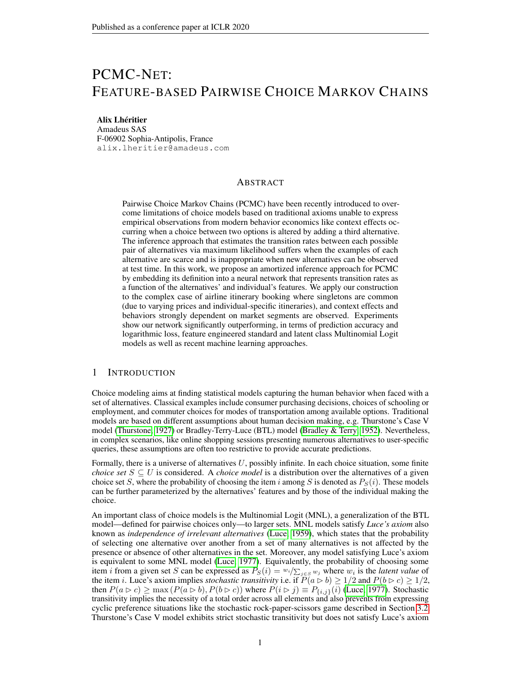# PCMC-NET: FEATURE-BASED PAIRWISE CHOICE MARKOV CHAINS

## Alix Lhéritier

Amadeus SAS F-06902 Sophia-Antipolis, France alix.lheritier@amadeus.com

# **ABSTRACT**

Pairwise Choice Markov Chains (PCMC) have been recently introduced to overcome limitations of choice models based on traditional axioms unable to express empirical observations from modern behavior economics like context effects occurring when a choice between two options is altered by adding a third alternative. The inference approach that estimates the transition rates between each possible pair of alternatives via maximum likelihood suffers when the examples of each alternative are scarce and is inappropriate when new alternatives can be observed at test time. In this work, we propose an amortized inference approach for PCMC by embedding its definition into a neural network that represents transition rates as a function of the alternatives' and individual's features. We apply our construction to the complex case of airline itinerary booking where singletons are common (due to varying prices and individual-specific itineraries), and context effects and behaviors strongly dependent on market segments are observed. Experiments show our network significantly outperforming, in terms of prediction accuracy and logarithmic loss, feature engineered standard and latent class Multinomial Logit models as well as recent machine learning approaches.

## 1 INTRODUCTION

Choice modeling aims at finding statistical models capturing the human behavior when faced with a set of alternatives. Classical examples include consumer purchasing decisions, choices of schooling or employment, and commuter choices for modes of transportation among available options. Traditional models are based on different assumptions about human decision making, e.g. Thurstone's Case V model [\(Thurstone, 1927\)](#page-10-0) or Bradley-Terry-Luce (BTL) model [\(Bradley & Terry, 1952\)](#page-9-0). Nevertheless, in complex scenarios, like online shopping sessions presenting numerous alternatives to user-specific queries, these assumptions are often too restrictive to provide accurate predictions.

Formally, there is a universe of alternatives  $U$ , possibly infinite. In each choice situation, some finite *choice set*  $S \subseteq U$  is considered. A *choice model* is a distribution over the alternatives of a given choice set S, where the probability of choosing the item i among S is denoted as  $P_S(i)$ . These models can be further parameterized by the alternatives' features and by those of the individual making the choice.

An important class of choice models is the Multinomial Logit (MNL), a generalization of the BTL model—defined for pairwise choices only—to larger sets. MNL models satisfy *Luce's axiom* also known as *independence of irrelevant alternatives* [\(Luce, 1959\)](#page-9-1), which states that the probability of selecting one alternative over another from a set of many alternatives is not affected by the presence or absence of other alternatives in the set. Moreover, any model satisfying Luce's axiom is equivalent to some MNL model [\(Luce, 1977\)](#page-9-2). Equivalently, the probability of choosing some item *i* from a given set S can be expressed as  $P_S(i) = w_i / \sum_{j \in S} w_j$  where  $w_i$  is the *latent value* of the item i. Luce's axiom implies *stochastic transitivity* i.e. if  $\tilde{P}(a \triangleright b) \ge 1/2$  and  $P(b \triangleright c) \ge 1/2$ , then  $P(a \triangleright c) \ge \max(P(a \triangleright b), P(b \triangleright c))$  where  $P(i \triangleright j) \equiv P_{\{i,j\}}(i)$  [\(Luce, 1977\)](#page-9-2). Stochastic transitivity implies the necessity of a total order across all elements and also prevents from expressing cyclic preference situations like the stochastic rock-paper-scissors game described in Section [3.2.](#page-4-0) Thurstone's Case V model exhibits strict stochastic transitivity but does not satisfy Luce's axiom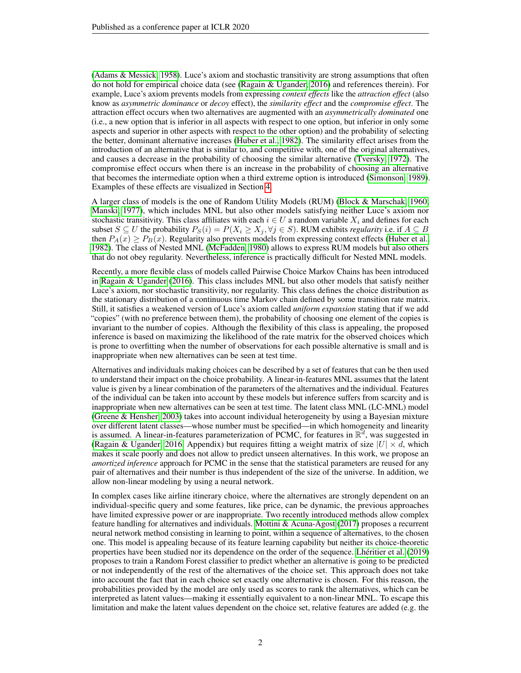[\(Adams & Messick, 1958\)](#page-9-3). Luce's axiom and stochastic transitivity are strong assumptions that often do not hold for empirical choice data (see [\(Ragain & Ugander, 2016\)](#page-10-1) and references therein). For example, Luce's axiom prevents models from expressing *context effects* like the *attraction effect* (also know as *asymmetric dominance* or *decoy* effect), the *similarity effect* and the *compromise effect*. The attraction effect occurs when two alternatives are augmented with an *asymmetrically dominated* one (i.e., a new option that is inferior in all aspects with respect to one option, but inferior in only some aspects and superior in other aspects with respect to the other option) and the probability of selecting the better, dominant alternative increases [\(Huber et al., 1982\)](#page-9-4). The similarity effect arises from the introduction of an alternative that is similar to, and competitive with, one of the original alternatives, and causes a decrease in the probability of choosing the similar alternative [\(Tversky, 1972\)](#page-10-2). The compromise effect occurs when there is an increase in the probability of choosing an alternative that becomes the intermediate option when a third extreme option is introduced [\(Simonson, 1989\)](#page-10-3). Examples of these effects are visualized in Section [4.](#page-5-0)

A larger class of models is the one of Random Utility Models (RUM) [\(Block & Marschak, 1960;](#page-9-5) [Manski, 1977\)](#page-9-6), which includes MNL but also other models satisfying neither Luce's axiom nor stochastic transitivity. This class affiliates with each  $i \in U$  a random variable  $X_i$  and defines for each subset  $S \subseteq U$  the probability  $P_S(i) = P(X_i \ge X_j, \forall j \in S)$ . RUM exhibits *regularity* i.e. if  $A \subseteq B$ then  $P_A(x) \geq P_B(x)$ . Regularity also prevents models from expressing context effects [\(Huber et al.,](#page-9-4) [1982\)](#page-9-4). The class of Nested MNL [\(McFadden, 1980\)](#page-9-7) allows to express RUM models but also others that do not obey regularity. Nevertheless, inference is practically difficult for Nested MNL models.

Recently, a more flexible class of models called Pairwise Choice Markov Chains has been introduced in [Ragain & Ugander](#page-10-1) [\(2016\)](#page-10-1). This class includes MNL but also other models that satisfy neither Luce's axiom, nor stochastic transitivity, nor regularity. This class defines the choice distribution as the stationary distribution of a continuous time Markov chain defined by some transition rate matrix. Still, it satisfies a weakened version of Luce's axiom called *uniform expansion* stating that if we add "copies" (with no preference between them), the probability of choosing one element of the copies is invariant to the number of copies. Although the flexibility of this class is appealing, the proposed inference is based on maximizing the likelihood of the rate matrix for the observed choices which is prone to overfitting when the number of observations for each possible alternative is small and is inappropriate when new alternatives can be seen at test time.

Alternatives and individuals making choices can be described by a set of features that can be then used to understand their impact on the choice probability. A linear-in-features MNL assumes that the latent value is given by a linear combination of the parameters of the alternatives and the individual. Features of the individual can be taken into account by these models but inference suffers from scarcity and is inappropriate when new alternatives can be seen at test time. The latent class MNL (LC-MNL) model [\(Greene & Hensher, 2003\)](#page-9-8) takes into account individual heterogeneity by using a Bayesian mixture over different latent classes—whose number must be specified—in which homogeneity and linearity is assumed. A linear-in-features parameterization of PCMC, for features in  $\mathbb{R}^d$ , was suggested in [\(Ragain & Ugander, 2016,](#page-10-1) Appendix) but requires fitting a weight matrix of size  $|U| \times d$ , which makes it scale poorly and does not allow to predict unseen alternatives. In this work, we propose an *amortized inference* approach for PCMC in the sense that the statistical parameters are reused for any pair of alternatives and their number is thus independent of the size of the universe. In addition, we allow non-linear modeling by using a neural network.

In complex cases like airline itinerary choice, where the alternatives are strongly dependent on an individual-specific query and some features, like price, can be dynamic, the previous approaches have limited expressive power or are inappropriate. Two recently introduced methods allow complex feature handling for alternatives and individuals. [Mottini & Acuna-Agost](#page-9-9) [\(2017\)](#page-9-9) proposes a recurrent neural network method consisting in learning to point, within a sequence of alternatives, to the chosen one. This model is appealing because of its feature learning capability but neither its choice-theoretic properties have been studied nor its dependence on the order of the sequence. [Lhéritier et al.](#page-9-10) [\(2019\)](#page-9-10) proposes to train a Random Forest classifier to predict whether an alternative is going to be predicted or not independently of the rest of the alternatives of the choice set. This approach does not take into account the fact that in each choice set exactly one alternative is chosen. For this reason, the probabilities provided by the model are only used as scores to rank the alternatives, which can be interpreted as latent values—making it essentially equivalent to a non-linear MNL. To escape this limitation and make the latent values dependent on the choice set, relative features are added (e.g. the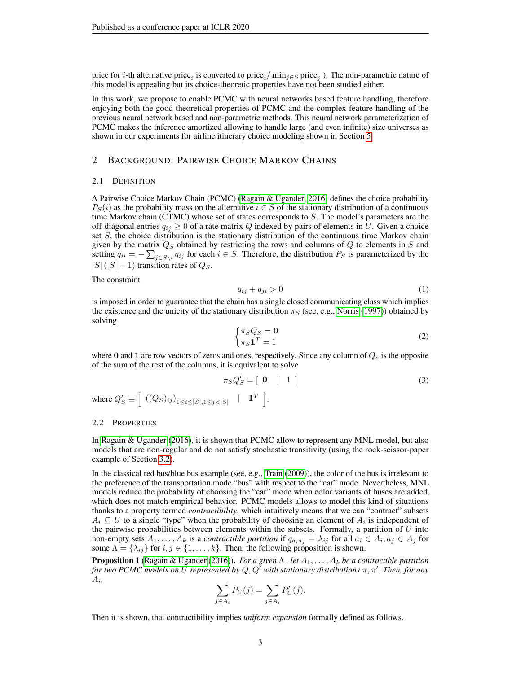price for *i*-th alternative price<sub>*i*</sub> is converted to price<sub>*i*</sub>/ $\min_{j \in S}$  price<sub>*j*</sub>). The non-parametric nature of this model is appealing but its choice-theoretic properties have not been studied either.

In this work, we propose to enable PCMC with neural networks based feature handling, therefore enjoying both the good theoretical properties of PCMC and the complex feature handling of the previous neural network based and non-parametric methods. This neural network parameterization of PCMC makes the inference amortized allowing to handle large (and even infinite) size universes as shown in our experiments for airline itinerary choice modeling shown in Section [5.](#page-6-0)

## 2 BACKGROUND: PAIRWISE CHOICE MARKOV CHAINS

## 2.1 DEFINITION

A Pairwise Choice Markov Chain (PCMC) [\(Ragain & Ugander, 2016\)](#page-10-1) defines the choice probability  $P_S(i)$  as the probability mass on the alternative  $i \in S$  of the stationary distribution of a continuous time Markov chain (CTMC) whose set of states corresponds to  $S$ . The model's parameters are the off-diagonal entries  $q_{ij} \ge 0$  of a rate matrix Q indexed by pairs of elements in U. Given a choice set  $S$ , the choice distribution is the stationary distribution of the continuous time Markov chain given by the matrix  $Q_S$  obtained by restricting the rows and columns of  $Q$  to elements in  $S$  and setting  $q_{ii} = -\sum_{j \in S \setminus i} q_{ij}$  for each  $i \in S$ . Therefore, the distribution  $P_S$  is parameterized by the  $|S|$  ( $|S|$  – 1) transition rates of  $Q_S$ .

#### The constraint

<span id="page-2-0"></span>
$$
q_{ij} + q_{ji} > 0 \tag{1}
$$

is imposed in order to guarantee that the chain has a single closed communicating class which implies the existence and the unicity of the stationary distribution  $\pi<sub>S</sub>$  (see, e.g., [Norris](#page-9-11) [\(1997\)](#page-9-11)) obtained by solving

$$
\begin{cases} \pi_S Q_S = \mathbf{0} \\ \pi_S \mathbf{1}^T = 1 \end{cases} \tag{2}
$$

where 0 and 1 are row vectors of zeros and ones, respectively. Since any column of  $Q_s$  is the opposite of the sum of the rest of the columns, it is equivalent to solve

$$
\pi_S Q'_S = \left[ \begin{array}{c c} 0 & | & 1 \end{array} \right] \tag{3}
$$

where  $Q'_{S} \equiv \left[ \begin{array}{cc} ((Q_S)_{ij})_{1 \leq i \leq |S|, 1 \leq j < |S|} & | & \mathbf{1}^T \end{array} \right].$ 

## 2.2 PROPERTIES

In [Ragain & Ugander](#page-10-1) [\(2016\)](#page-10-1), it is shown that PCMC allow to represent any MNL model, but also models that are non-regular and do not satisfy stochastic transitivity (using the rock-scissor-paper example of Section [3.2\)](#page-4-0).

In the classical red bus/blue bus example (see, e.g., [Train](#page-10-4) [\(2009\)](#page-10-4)), the color of the bus is irrelevant to the preference of the transportation mode "bus" with respect to the "car" mode. Nevertheless, MNL models reduce the probability of choosing the "car" mode when color variants of buses are added, which does not match empirical behavior. PCMC models allows to model this kind of situations thanks to a property termed *contractibility*, which intuitively means that we can "contract" subsets  $A_i \subseteq U$  to a single "type" when the probability of choosing an element of  $A_i$  is independent of the pairwise probabilities between elements within the subsets. Formally, a partition of  $U$  into non-empty sets  $A_1, \ldots, A_k$  is a *contractible partition* if  $q_{a_i a_j} = \lambda_{ij}$  for all  $a_i \in A_i, a_j \in A_j$  for some  $\Lambda = {\lambda_{ij}}$  for  $i, j \in \{1, ..., k\}$ . Then, the following proposition is shown.

<span id="page-2-1"></span>**Proposition 1** [\(Ragain & Ugander](#page-10-1) [\(2016\)](#page-10-1)). *For a given*  $\Lambda$ , let  $A_1, \ldots, A_k$  be a contractible partition for two PCMC models on  $\bar{U}$  represented by  $Q,Q^{\tilde{\prime}}$  with stationary distributions  $\pi, \pi'.$  Then, for any Ai *,*

$$
\sum_{j \in A_i} P_U(j) = \sum_{j \in A_i} P'_U(j).
$$

Then it is shown, that contractibility implies *uniform expansion* formally defined as follows.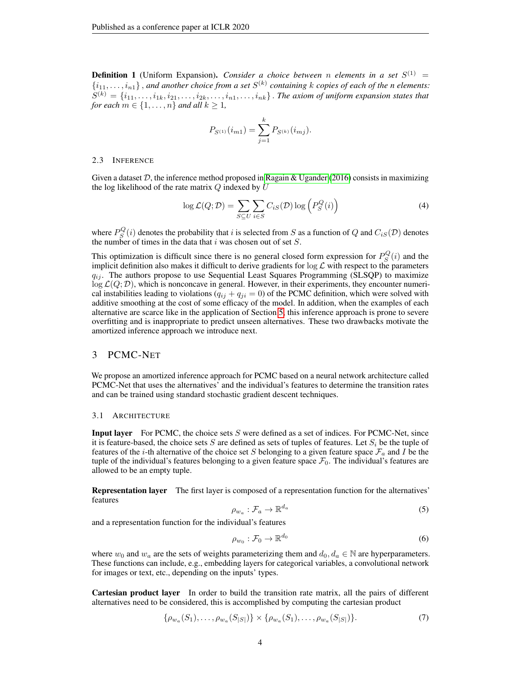**Definition 1** (Uniform Expansion). *Consider a choice between n elements in a set*  $S^{(1)}$  =  $\{i_{11}, \ldots, i_{n1}\}$ , and another choice from a set  $S^{(k)}$  containing k copies of each of the n elements:  $S^{(k)} = \{i_{11}, \ldots, i_{1k}, i_{21}, \ldots, i_{2k}, \ldots, i_{n1}, \ldots, i_{nk}\}$  . The axiom of uniform expansion states that *for each*  $m \in \{1, \ldots, n\}$  *and all*  $k \geq 1$ *,* 

$$
P_{S^{(1)}}(i_{m1}) = \sum_{j=1}^{k} P_{S^{(k)}}(i_{mj}).
$$

#### 2.3 INFERENCE

Given a dataset  $D$ , the inference method proposed in [Ragain & Ugander](#page-10-1) [\(2016\)](#page-10-1) consists in maximizing the log likelihood of the rate matrix  $Q$  indexed by  $U$ 

$$
\log \mathcal{L}(Q; \mathcal{D}) = \sum_{S \subseteq U} \sum_{i \in S} C_{iS}(\mathcal{D}) \log \left( P_S^Q(i) \right) \tag{4}
$$

where  $P_S^Q(i)$  denotes the probability that i is selected from S as a function of Q and  $C_{iS}(\mathcal{D})$  denotes the number of times in the data that  $i$  was chosen out of set  $S$ .

This optimization is difficult since there is no general closed form expression for  $P_S^Q(i)$  and the implicit definition also makes it difficult to derive gradients for  $\log \mathcal{L}$  with respect to the parameters  $q_{ij}$ . The authors propose to use Sequential Least Squares Programming (SLSQP) to maximize  $\log L(Q; D)$ , which is nonconcave in general. However, in their experiments, they encounter numerical instabilities leading to violations  $(q_{ij} + q_{ji} = 0)$  of the PCMC definition, which were solved with additive smoothing at the cost of some efficacy of the model. In addition, when the examples of each alternative are scarce like in the application of Section [5,](#page-6-0) this inference approach is prone to severe overfitting and is inappropriate to predict unseen alternatives. These two drawbacks motivate the amortized inference approach we introduce next.

## 3 PCMC-NET

We propose an amortized inference approach for PCMC based on a neural network architecture called PCMC-Net that uses the alternatives' and the individual's features to determine the transition rates and can be trained using standard stochastic gradient descent techniques.

## 3.1 ARCHITECTURE

**Input layer** For PCMC, the choice sets  $S$  were defined as a set of indices. For PCMC-Net, since it is feature-based, the choice sets S are defined as sets of tuples of features. Let  $S_i$  be the tuple of features of the *i*-th alternative of the choice set S belonging to a given feature space  $\mathcal{F}_a$  and I be the tuple of the individual's features belonging to a given feature space  $\mathcal{F}_0$ . The individual's features are allowed to be an empty tuple.

Representation layer The first layer is composed of a representation function for the alternatives' features

$$
\rho_{w_a} : \mathcal{F}_a \to \mathbb{R}^{d_a} \tag{5}
$$

and a representation function for the individual's features

$$
\rho_{w_0} : \mathcal{F}_0 \to \mathbb{R}^{d_0} \tag{6}
$$

where  $w_0$  and  $w_a$  are the sets of weights parameterizing them and  $d_0, d_a \in \mathbb{N}$  are hyperparameters. These functions can include, e.g., embedding layers for categorical variables, a convolutional network for images or text, etc., depending on the inputs' types.

Cartesian product layer In order to build the transition rate matrix, all the pairs of different alternatives need to be considered, this is accomplished by computing the cartesian product

$$
\{\rho_{w_a}(S_1), \dots, \rho_{w_a}(S_{|S|})\} \times \{\rho_{w_a}(S_1), \dots, \rho_{w_a}(S_{|S|})\}.
$$
\n(7)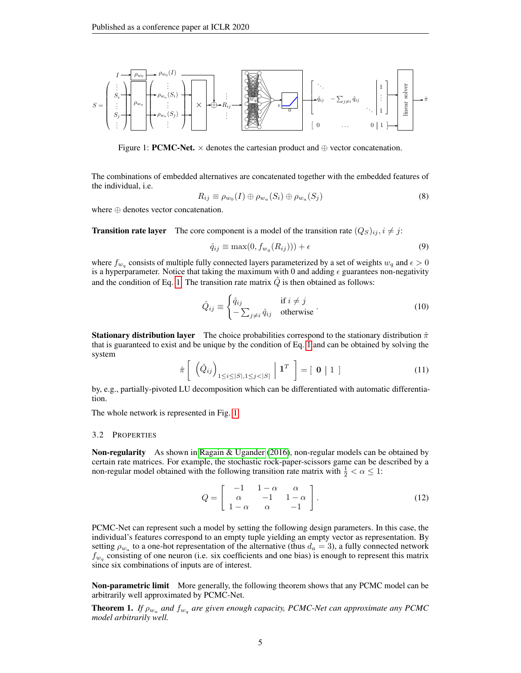<span id="page-4-1"></span>

Figure 1: **PCMC-Net.**  $\times$  denotes the cartesian product and  $\oplus$  vector concatenation.

The combinations of embedded alternatives are concatenated together with the embedded features of the individual, i.e.

$$
R_{ij} \equiv \rho_{w_0}(I) \oplus \rho_{w_a}(S_i) \oplus \rho_{w_a}(S_j)
$$
\n(8)

where ⊕ denotes vector concatenation.

**Transition rate layer** The core component is a model of the transition rate  $(Q_S)_{ij}$ ,  $i \neq j$ :

$$
\hat{q}_{ij} \equiv \max(0, f_{w_q}(R_{ij})) + \epsilon \tag{9}
$$

where  $f_{w_q}$  consists of multiple fully connected layers parameterized by a set of weights  $w_q$  and  $\epsilon > 0$ is a hyperparameter. Notice that taking the maximum with 0 and adding  $\epsilon$  guarantees non-negativity and the condition of Eq. [1.](#page-2-0) The transition rate matrix  $\hat{Q}$  is then obtained as follows:

$$
\hat{Q}_{ij} \equiv \begin{cases} \hat{q}_{ij} & \text{if } i \neq j \\ -\sum_{j \neq i} \hat{q}_{ij} & \text{otherwise} \end{cases} (10)
$$

**Stationary distribution layer** The choice probabilities correspond to the stationary distribution  $\hat{\pi}$ that is guaranteed to exist and be unique by the condition of Eq. [1](#page-2-0) and can be obtained by solving the system

$$
\hat{\pi}\left[\left(\hat{Q}_{ij}\right)_{1\leq i\leq |S|,1\leq j<|S|}\middle|\mathbf{1}^T\right]=\left[\mathbf{0}\middle|\mathbf{1}\right]
$$
\n(11)

by, e.g., partially-pivoted LU decomposition which can be differentiated with automatic differentiation.

The whole network is represented in Fig. [1.](#page-4-1)

#### <span id="page-4-0"></span>3.2 PROPERTIES

Non-regularity As shown in [Ragain & Ugander](#page-10-1) [\(2016\)](#page-10-1), non-regular models can be obtained by certain rate matrices. For example, the stochastic rock-paper-scissors game can be described by a non-regular model obtained with the following transition rate matrix with  $\frac{1}{2} < \alpha \leq 1$ :

$$
Q = \begin{bmatrix} -1 & 1 - \alpha & \alpha \\ \alpha & -1 & 1 - \alpha \\ 1 - \alpha & \alpha & -1 \end{bmatrix}.
$$
 (12)

PCMC-Net can represent such a model by setting the following design parameters. In this case, the individual's features correspond to an empty tuple yielding an empty vector as representation. By setting  $\rho_{w_a}$  to a one-hot representation of the alternative (thus  $d_a = 3$ ), a fully connected network  $f_{w_q}$  consisting of one neuron (i.e. six coefficients and one bias) is enough to represent this matrix since six combinations of inputs are of interest.

**Non-parametric limit** More generally, the following theorem shows that any PCMC model can be arbitrarily well approximated by PCMC-Net.

**Theorem 1.** If  $\rho_{w_a}$  and  $f_{w_q}$  are given enough capacity, PCMC-Net can approximate any PCMC *model arbitrarily well.*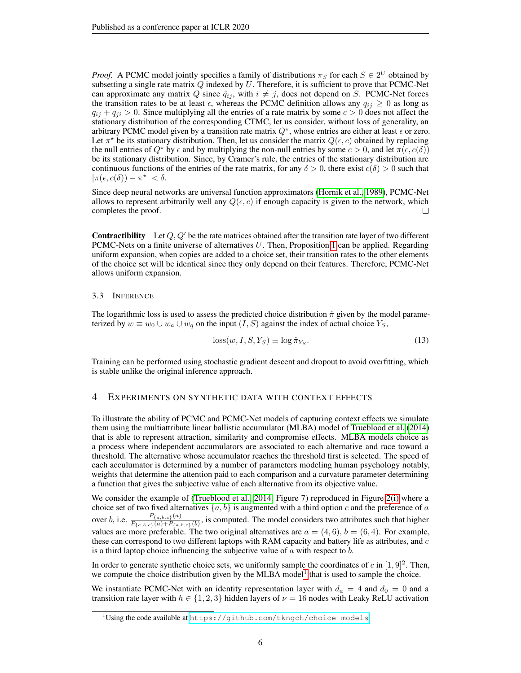*Proof.* A PCMC model jointly specifies a family of distributions  $\pi_S$  for each  $S \in 2^U$  obtained by subsetting a single rate matrix  $Q$  indexed by  $U$ . Therefore, it is sufficient to prove that PCMC-Net can approximate any matrix Q since  $\hat{q}_{ij}$ , with  $i \neq j$ , does not depend on S. PCMC-Net forces the transition rates to be at least  $\epsilon$ , whereas the PCMC definition allows any  $q_{ij} \geq 0$  as long as  $q_{ij} + q_{ji} > 0$ . Since multiplying all the entries of a rate matrix by some  $c > 0$  does not affect the stationary distribution of the corresponding CTMC, let us consider, without loss of generality, an arbitrary PCMC model given by a transition rate matrix  $Q^*$ , whose entries are either at least  $\epsilon$  or zero. Let  $\pi^*$  be its stationary distribution. Then, let us consider the matrix  $Q(\epsilon, c)$  obtained by replacing the null entries of  $Q^*$  by  $\epsilon$  and by multiplying the non-null entries by some  $c > 0$ , and let  $\pi(\epsilon, c(\delta))$ be its stationary distribution. Since, by Cramer's rule, the entries of the stationary distribution are continuous functions of the entries of the rate matrix, for any  $\delta > 0$ , there exist  $c(\delta) > 0$  such that  $|\pi(\epsilon, c(\delta)) - \pi^{\star}| < \delta.$ 

Since deep neural networks are universal function approximators [\(Hornik et al., 1989\)](#page-9-12), PCMC-Net allows to represent arbitrarily well any  $Q(\epsilon, c)$  if enough capacity is given to the network, which completes the proof. П

**Contractibility** Let  $Q, Q'$  be the rate matrices obtained after the transition rate layer of two different PCMC-Nets on a finite universe of alternatives  $U$ . Then, Proposition [1](#page-2-1) can be applied. Regarding uniform expansion, when copies are added to a choice set, their transition rates to the other elements of the choice set will be identical since they only depend on their features. Therefore, PCMC-Net allows uniform expansion.

## 3.3 INFERENCE

The logarithmic loss is used to assess the predicted choice distribution  $\hat{\pi}$  given by the model parameterized by  $w \equiv w_0 \cup w_a \cup w_q$  on the input  $(I, S)$  against the index of actual choice  $Y_s$ ,

$$
loss(w, I, S, Y_S) \equiv \log \hat{\pi}_{Y_S}.
$$
\n(13)

Training can be performed using stochastic gradient descent and dropout to avoid overfitting, which is stable unlike the original inference approach.

# <span id="page-5-0"></span>4 EXPERIMENTS ON SYNTHETIC DATA WITH CONTEXT EFFECTS

To illustrate the ability of PCMC and PCMC-Net models of capturing context effects we simulate them using the multiattribute linear ballistic accumulator (MLBA) model of [Trueblood et al.](#page-10-5) [\(2014\)](#page-10-5) that is able to represent attraction, similarity and compromise effects. MLBA models choice as a process where independent accumulators are associated to each alternative and race toward a threshold. The alternative whose accumulator reaches the threshold first is selected. The speed of each acculumator is determined by a number of parameters modeling human psychology notably, weights that determine the attention paid to each comparison and a curvature parameter determining a function that gives the subjective value of each alternative from its objective value.

We consider the example of [\(Trueblood et al., 2014,](#page-10-5) Figure 7) reproduced in Figure [2\(i\)](#page-6-1) where a choice set of two fixed alternatives  $\{a, b\}$  is augmented with a third option c and the preference of a over b, i.e.  $\frac{P_{\{a,b,c\}}(a)}{P_{\{a,b,c\}}(a)+P_{\{a,b,c\}}(b)}$ , is computed. The model considers two attributes such that higher values are more preferable. The two original alternatives are  $a = (4, 6)$ ,  $b = (6, 4)$ . For example, these can correspond to two different laptops with RAM capacity and battery life as attributes, and  $c$ is a third laptop choice influencing the subjective value of  $a$  with respect to  $b$ .

In order to generate synthetic choice sets, we uniformly sample the coordinates of c in  $[1, 9]^2$ . Then, we compute the choice distribution given by the MLBA model<sup>[1](#page-5-1)</sup> that is used to sample the choice.

We instantiate PCMC-Net with an identity representation layer with  $d_a = 4$  and  $d_0 = 0$  and a transition rate layer with  $h \in \{1, 2, 3\}$  hidden layers of  $\nu = 16$  nodes with Leaky ReLU activation

<span id="page-5-1"></span><sup>&</sup>lt;sup>1</sup>Using the code available at <https://github.com/tkngch/choice-models>.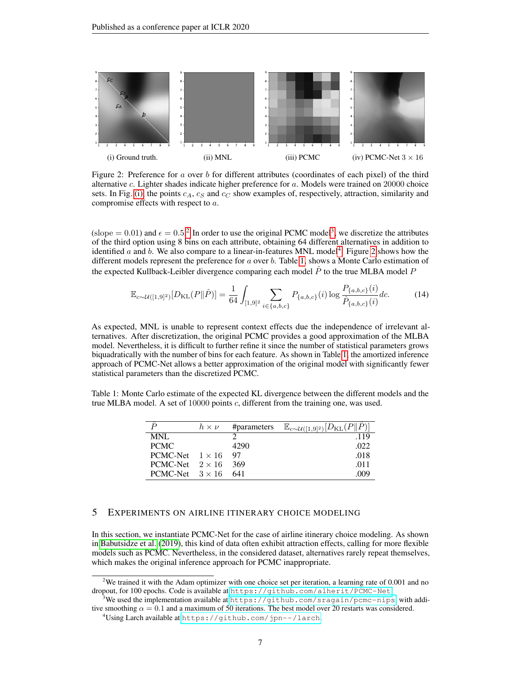<span id="page-6-1"></span>

Figure 2: Preference for a over b for different attributes (coordinates of each pixel) of the third alternative c. Lighter shades indicate higher preference for a. Models were trained on 20000 choice sets. In Fig. [\(i\),](#page-6-1) the points  $c_A$ ,  $c_S$  and  $c_C$  show examples of, respectively, attraction, similarity and compromise effects with respect to a.

(slope = 0.01) and  $\epsilon = 0.5$ .<sup>[2](#page-6-2)</sup> In order to use the original PCMC model<sup>[3](#page-6-3)</sup>, we discretize the attributes of the third option using 8 bins on each attribute, obtaining 64 different alternatives in addition to identified a and b. We also compare to a linear-in-features MNL model<sup>[4](#page-6-4)</sup>. Figure [2](#page-6-1) shows how the different models represent the preference for  $a$  over  $b$ . Table [1,](#page-6-5) shows a Monte Carlo estimation of the expected Kullback-Leibler divergence comparing each model  $\hat{P}$  to the true MLBA model P

$$
\mathbb{E}_{c \sim \mathcal{U}([1,9]^2)}[D_{\text{KL}}(P \|\hat{P})] = \frac{1}{64} \int_{[1,9]^2} \sum_{i \in \{a,b,c\}} P_{\{a,b,c\}}(i) \log \frac{P_{\{a,b,c\}}(i)}{\hat{P}_{\{a,b,c\}}(i)} dc.
$$
 (14)

As expected, MNL is unable to represent context effects due the independence of irrelevant alternatives. After discretization, the original PCMC provides a good approximation of the MLBA model. Nevertheless, it is difficult to further refine it since the number of statistical parameters grows biquadratically with the number of bins for each feature. As shown in Table [1,](#page-6-5) the amortized inference approach of PCMC-Net allows a better approximation of the original model with significantly fewer statistical parameters than the discretized PCMC.

<span id="page-6-5"></span>Table 1: Monte Carlo estimate of the expected KL divergence between the different models and the true MLBA model. A set of 10000 points  $c$ , different from the training one, was used.

|                        | $h \times \nu$ | #parameters | $\mathbb{E}_{c \sim \mathcal{U}([1,9]^2)}[D_{\mathrm{KL}}(P  \hat{P})]$ |
|------------------------|----------------|-------------|-------------------------------------------------------------------------|
| MNL                    |                |             | .119                                                                    |
| <b>PCMC</b>            |                | 4290        | .022                                                                    |
| PCMC-Net $1 \times 16$ |                | 97          | .018                                                                    |
| PCMC-Net $2 \times 16$ |                | 369         | .011                                                                    |
| PCMC-Net $3 \times 16$ |                | 641         | -009                                                                    |

# <span id="page-6-0"></span>5 EXPERIMENTS ON AIRLINE ITINERARY CHOICE MODELING

In this section, we instantiate PCMC-Net for the case of airline itinerary choice modeling. As shown in [Babutsidze et al.](#page-9-13) [\(2019\)](#page-9-13), this kind of data often exhibit attraction effects, calling for more flexible models such as PCMC. Nevertheless, in the considered dataset, alternatives rarely repeat themselves, which makes the original inference approach for PCMC inappropriate.

<span id="page-6-2"></span><sup>&</sup>lt;sup>2</sup>We trained it with the Adam optimizer with one choice set per iteration, a learning rate of 0.001 and no dropout, for 100 epochs. Code is available at <https://github.com/alherit/PCMC-Net>.

<span id="page-6-3"></span>We used the implementation available at <https://github.com/sragain/pcmc-nips>, with additive smoothing  $\alpha = 0.1$  and a maximum of 50 iterations. The best model over 20 restarts was considered.

<span id="page-6-4"></span><sup>&</sup>lt;sup>4</sup>Using Larch available at <https://github.com/jpn--/larch>.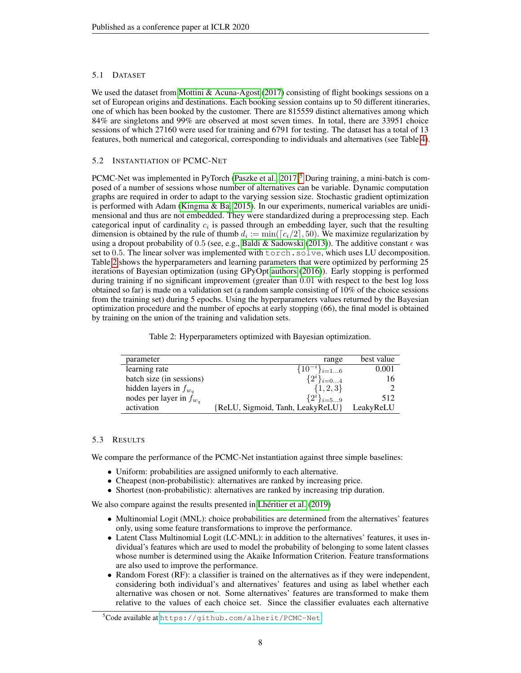# 5.1 DATASET

We used the dataset from [Mottini & Acuna-Agost](#page-9-9) [\(2017\)](#page-9-9) consisting of flight bookings sessions on a set of European origins and destinations. Each booking session contains up to 50 different itineraries, one of which has been booked by the customer. There are 815559 distinct alternatives among which 84% are singletons and 99% are observed at most seven times. In total, there are 33951 choice sessions of which 27160 were used for training and 6791 for testing. The dataset has a total of 13 features, both numerical and categorical, corresponding to individuals and alternatives (see Table [4\)](#page-10-6).

# 5.2 INSTANTIATION OF PCMC-NET

PCMC-Net was implemented in PyTorch (Paszke et al.,  $2017$ <sup>[5](#page-7-0)</sup> During training, a mini-batch is composed of a number of sessions whose number of alternatives can be variable. Dynamic computation graphs are required in order to adapt to the varying session size. Stochastic gradient optimization is performed with Adam [\(Kingma & Ba, 2015\)](#page-9-14). In our experiments, numerical variables are unidimensional and thus are not embedded. They were standardized during a preprocessing step. Each categorical input of cardinality  $c_i$  is passed through an embedding layer, such that the resulting dimension is obtained by the rule of thumb  $d_i := \min(\lceil c_i/2 \rceil, 50)$ . We maximize regularization by using a dropout probability of 0.5 (see, e.g., [Baldi & Sadowski](#page-9-15) [\(2013\)](#page-9-15)). The additive constant  $\epsilon$  was set to 0.5. The linear solver was implemented with torch.solve, which uses LU decomposition. Table [2](#page-7-1) shows the hyperparameters and learning parameters that were optimized by performing 25 iterations of Bayesian optimization (using GPyOpt [authors](#page-9-16) [\(2016\)](#page-9-16)). Early stopping is performed during training if no significant improvement (greater than 0.01 with respect to the best log loss obtained so far) is made on a validation set (a random sample consisting of 10% of the choice sessions from the training set) during 5 epochs. Using the hyperparameters values returned by the Bayesian optimization procedure and the number of epochs at early stopping (66), the final model is obtained by training on the union of the training and validation sets.

Table 2: Hyperparameters optimized with Bayesian optimization.

<span id="page-7-1"></span>

| parameter                    | range                            | best value |
|------------------------------|----------------------------------|------------|
| learning rate                | $\{10^{-i}\}_{i=16}$             | 0.001      |
| batch size (in sessions)     | $\{2^i\}_{i=04}$                 | 16         |
| hidden layers in $f_{w_q}$   | $\{1, 2, 3\}$                    |            |
| nodes per layer in $f_{w_a}$ | $\{2^i\}_{i=59}$                 | 512        |
| activation                   | {ReLU, Sigmoid, Tanh, LeakyReLU} | LeakyReLU  |

## 5.3 RESULTS

We compare the performance of the PCMC-Net instantiation against three simple baselines:

- Uniform: probabilities are assigned uniformly to each alternative.
- Cheapest (non-probabilistic): alternatives are ranked by increasing price.
- Shortest (non-probabilistic): alternatives are ranked by increasing trip duration.

We also compare against the results presented in [Lhéritier et al.](#page-9-10) [\(2019\)](#page-9-10)

- Multinomial Logit (MNL): choice probabilities are determined from the alternatives' features only, using some feature transformations to improve the performance.
- Latent Class Multinomial Logit (LC-MNL): in addition to the alternatives' features, it uses individual's features which are used to model the probability of belonging to some latent classes whose number is determined using the Akaike Information Criterion. Feature transformations are also used to improve the performance.
- Random Forest (RF): a classifier is trained on the alternatives as if they were independent, considering both individual's and alternatives' features and using as label whether each alternative was chosen or not. Some alternatives' features are transformed to make them relative to the values of each choice set. Since the classifier evaluates each alternative

<span id="page-7-0"></span><sup>&</sup>lt;sup>5</sup>Code available at <https://github.com/alherit/PCMC-Net>.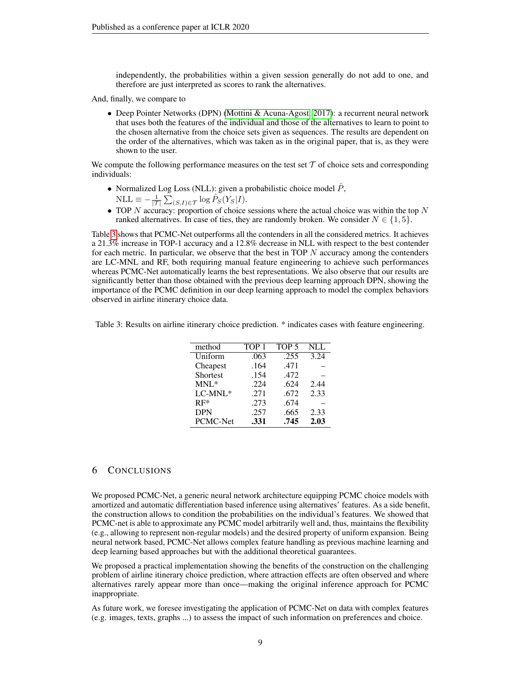independently, the probabilities within a given session generally do not add to one, and therefore are just interpreted as scores to rank the alternatives.

And, finally, we compare to

• Deep Pointer Networks (DPN) [\(Mottini & Acuna-Agost, 2017\)](#page-9-9): a recurrent neural network that uses both the features of the individual and those of the alternatives to learn to point to the chosen alternative from the choice sets given as sequences. The results are dependent on the order of the alternatives, which was taken as in the original paper, that is, as they were shown to the user.

We compute the following performance measures on the test set  $\mathcal T$  of choice sets and corresponding individuals:

- Normalized Log Loss (NLL): given a probabilistic choice model  $\hat{P}$ ,
	- $\text{NLL} \equiv -\frac{1}{|\mathcal{T}|} \sum_{(S,I) \in \mathcal{T}} \log \hat{P}_S(Y_S|I).$
- TOP  $N$  accuracy: proportion of choice sessions where the actual choice was within the top  $N$ ranked alternatives. In case of ties, they are randomly broken. We consider  $N \in \{1, 5\}$ .

Table [3](#page-8-0) shows that PCMC-Net outperforms all the contenders in all the considered metrics. It achieves a 21.3% increase in TOP-1 accuracy and a 12.8% decrease in NLL with respect to the best contender for each metric. In particular, we observe that the best in TOP  $N$  accuracy among the contenders are LC-MNL and RF, both requiring manual feature engineering to achieve such performances whereas PCMC-Net automatically learns the best representations. We also observe that our results are significantly better than those obtained with the previous deep learning approach DPN, showing the importance of the PCMC definition in our deep learning approach to model the complex behaviors observed in airline itinerary choice data.

<span id="page-8-0"></span>Table 3: Results on airline itinerary choice prediction. \* indicates cases with feature engineering.

| method     | TOP <sub>1</sub> | TOP <sub>5</sub> | $\rm NL$ |
|------------|------------------|------------------|----------|
| Uniform    | .063             | .255             | 3.24     |
| Cheapest   | .164             | .471             |          |
| Shortest   | .154             | .472             |          |
| $MNL^*$    | .224             | .624             | 2.44     |
| LC-MNL*    | .271             | .672             | 2.33     |
| $RF*$      | .273             | .674             |          |
| <b>DPN</b> | .257             | .665             | 2.33     |
| PCMC-Net   | .331             | .745             | 2.03     |

## 6 CONCLUSIONS

We proposed PCMC-Net, a generic neural network architecture equipping PCMC choice models with amortized and automatic differentiation based inference using alternatives' features. As a side benefit, the construction allows to condition the probabilities on the individual's features. We showed that PCMC-net is able to approximate any PCMC model arbitrarily well and, thus, maintains the flexibility (e.g., allowing to represent non-regular models) and the desired property of uniform expansion. Being neural network based, PCMC-Net allows complex feature handling as previous machine learning and deep learning based approaches but with the additional theoretical guarantees.

We proposed a practical implementation showing the benefits of the construction on the challenging problem of airline itinerary choice prediction, where attraction effects are often observed and where alternatives rarely appear more than once—making the original inference approach for PCMC inappropriate.

As future work, we foresee investigating the application of PCMC-Net on data with complex features (e.g. images, texts, graphs ...) to assess the impact of such information on preferences and choice.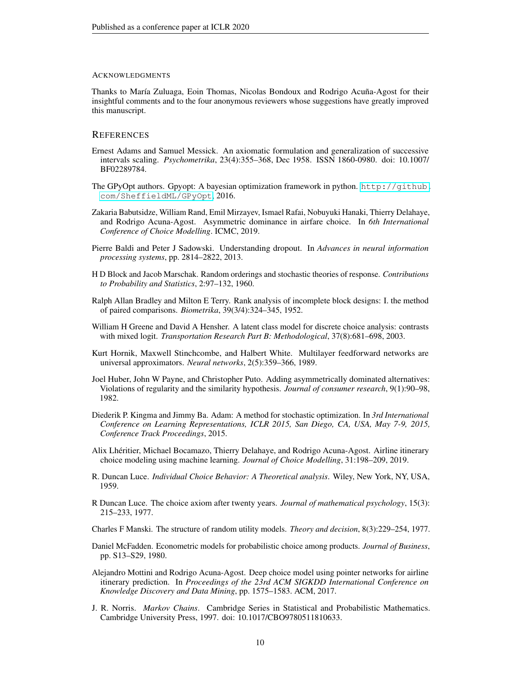#### ACKNOWLEDGMENTS

Thanks to María Zuluaga, Eoin Thomas, Nicolas Bondoux and Rodrigo Acuña-Agost for their insightful comments and to the four anonymous reviewers whose suggestions have greatly improved this manuscript.

## **REFERENCES**

- <span id="page-9-3"></span>Ernest Adams and Samuel Messick. An axiomatic formulation and generalization of successive intervals scaling. *Psychometrika*, 23(4):355–368, Dec 1958. ISSN 1860-0980. doi: 10.1007/ BF02289784.
- <span id="page-9-16"></span>The GPyOpt authors. Gpyopt: A bayesian optimization framework in python. [http://github.](http://github.com/SheffieldML/GPyOpt) [com/SheffieldML/GPyOpt](http://github.com/SheffieldML/GPyOpt), 2016.
- <span id="page-9-13"></span>Zakaria Babutsidze, William Rand, Emil Mirzayev, Ismael Rafai, Nobuyuki Hanaki, Thierry Delahaye, and Rodrigo Acuna-Agost. Asymmetric dominance in airfare choice. In *6th International Conference of Choice Modelling*. ICMC, 2019.
- <span id="page-9-15"></span>Pierre Baldi and Peter J Sadowski. Understanding dropout. In *Advances in neural information processing systems*, pp. 2814–2822, 2013.
- <span id="page-9-5"></span>H D Block and Jacob Marschak. Random orderings and stochastic theories of response. *Contributions to Probability and Statistics*, 2:97–132, 1960.
- <span id="page-9-0"></span>Ralph Allan Bradley and Milton E Terry. Rank analysis of incomplete block designs: I. the method of paired comparisons. *Biometrika*, 39(3/4):324–345, 1952.
- <span id="page-9-8"></span>William H Greene and David A Hensher. A latent class model for discrete choice analysis: contrasts with mixed logit. *Transportation Research Part B: Methodological*, 37(8):681–698, 2003.
- <span id="page-9-12"></span>Kurt Hornik, Maxwell Stinchcombe, and Halbert White. Multilayer feedforward networks are universal approximators. *Neural networks*, 2(5):359–366, 1989.
- <span id="page-9-4"></span>Joel Huber, John W Payne, and Christopher Puto. Adding asymmetrically dominated alternatives: Violations of regularity and the similarity hypothesis. *Journal of consumer research*, 9(1):90–98, 1982.
- <span id="page-9-14"></span>Diederik P. Kingma and Jimmy Ba. Adam: A method for stochastic optimization. In *3rd International Conference on Learning Representations, ICLR 2015, San Diego, CA, USA, May 7-9, 2015, Conference Track Proceedings*, 2015.
- <span id="page-9-10"></span>Alix Lhéritier, Michael Bocamazo, Thierry Delahaye, and Rodrigo Acuna-Agost. Airline itinerary choice modeling using machine learning. *Journal of Choice Modelling*, 31:198–209, 2019.
- <span id="page-9-1"></span>R. Duncan Luce. *Individual Choice Behavior: A Theoretical analysis*. Wiley, New York, NY, USA, 1959.
- <span id="page-9-2"></span>R Duncan Luce. The choice axiom after twenty years. *Journal of mathematical psychology*, 15(3): 215–233, 1977.
- <span id="page-9-6"></span>Charles F Manski. The structure of random utility models. *Theory and decision*, 8(3):229–254, 1977.
- <span id="page-9-7"></span>Daniel McFadden. Econometric models for probabilistic choice among products. *Journal of Business*, pp. S13–S29, 1980.
- <span id="page-9-9"></span>Alejandro Mottini and Rodrigo Acuna-Agost. Deep choice model using pointer networks for airline itinerary prediction. In *Proceedings of the 23rd ACM SIGKDD International Conference on Knowledge Discovery and Data Mining*, pp. 1575–1583. ACM, 2017.
- <span id="page-9-11"></span>J. R. Norris. *Markov Chains*. Cambridge Series in Statistical and Probabilistic Mathematics. Cambridge University Press, 1997. doi: 10.1017/CBO9780511810633.